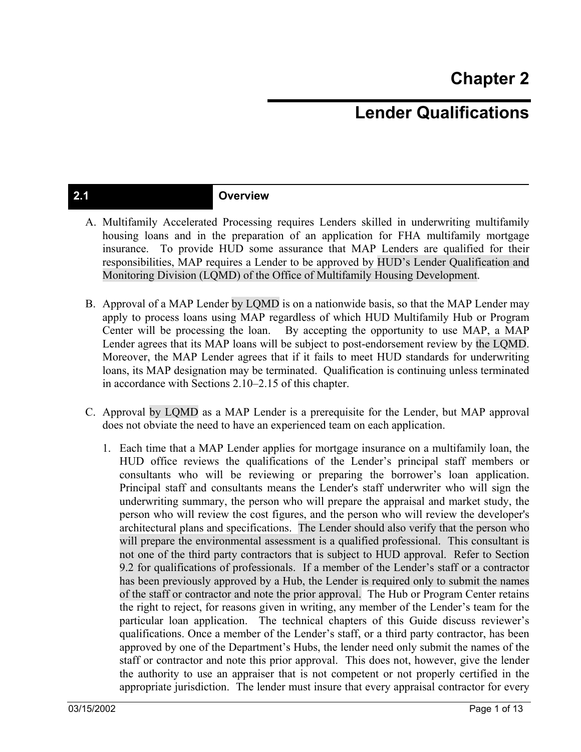# **Lender Qualifications**

### **2.1 Overview**

- A. Multifamily Accelerated Processing requires Lenders skilled in underwriting multifamily housing loans and in the preparation of an application for FHA multifamily mortgage insurance. To provide HUD some assurance that MAP Lenders are qualified for their responsibilities, MAP requires a Lender to be approved by HUD's Lender Qualification and Monitoring Division (LQMD) of the Office of Multifamily Housing Development.
- B. Approval of a MAP Lender by LQMD is on a nationwide basis, so that the MAP Lender may apply to process loans using MAP regardless of which HUD Multifamily Hub or Program Center will be processing the loan. By accepting the opportunity to use MAP, a MAP Lender agrees that its MAP loans will be subject to post-endorsement review by the LQMD. Moreover, the MAP Lender agrees that if it fails to meet HUD standards for underwriting loans, its MAP designation may be terminated. Qualification is continuing unless terminated in accordance with Sections 2.10–2.15 of this chapter.
- C. Approval by LQMD as a MAP Lender is a prerequisite for the Lender, but MAP approval does not obviate the need to have an experienced team on each application.
	- 1. Each time that a MAP Lender applies for mortgage insurance on a multifamily loan, the HUD office reviews the qualifications of the Lender's principal staff members or consultants who will be reviewing or preparing the borrower's loan application. Principal staff and consultants means the Lender's staff underwriter who will sign the underwriting summary, the person who will prepare the appraisal and market study, the person who will review the cost figures, and the person who will review the developer's architectural plans and specifications. The Lender should also verify that the person who will prepare the environmental assessment is a qualified professional. This consultant is not one of the third party contractors that is subject to HUD approval. Refer to Section 9.2 for qualifications of professionals. If a member of the Lender's staff or a contractor has been previously approved by a Hub, the Lender is required only to submit the names of the staff or contractor and note the prior approval. The Hub or Program Center retains the right to reject, for reasons given in writing, any member of the Lender's team for the particular loan application. The technical chapters of this Guide discuss reviewer's qualifications. Once a member of the Lender's staff, or a third party contractor, has been approved by one of the Department's Hubs, the lender need only submit the names of the staff or contractor and note this prior approval. This does not, however, give the lender the authority to use an appraiser that is not competent or not properly certified in the appropriate jurisdiction. The lender must insure that every appraisal contractor for every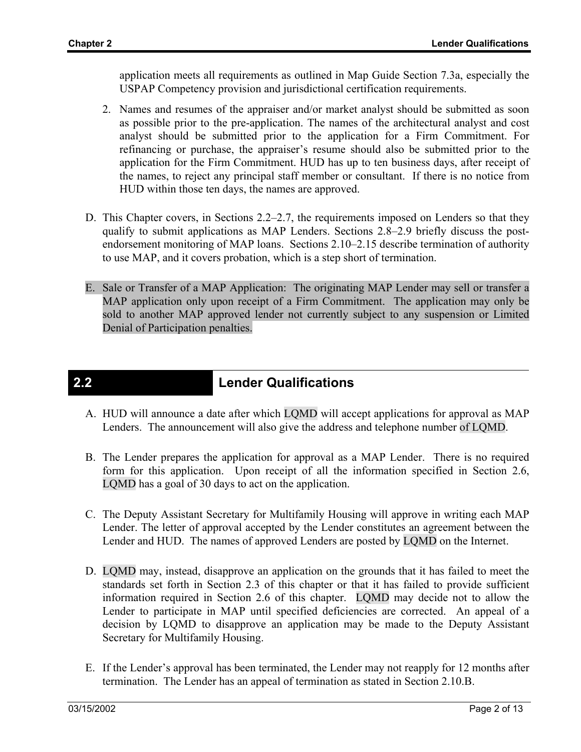application meets all requirements as outlined in Map Guide Section 7.3a, especially the USPAP Competency provision and jurisdictional certification requirements.

- 2. Names and resumes of the appraiser and/or market analyst should be submitted as soon as possible prior to the pre-application. The names of the architectural analyst and cost analyst should be submitted prior to the application for a Firm Commitment. For refinancing or purchase, the appraiser's resume should also be submitted prior to the application for the Firm Commitment. HUD has up to ten business days, after receipt of the names, to reject any principal staff member or consultant. If there is no notice from HUD within those ten days, the names are approved.
- D. This Chapter covers, in Sections 2.2–2.7, the requirements imposed on Lenders so that they qualify to submit applications as MAP Lenders. Sections 2.8–2.9 briefly discuss the postendorsement monitoring of MAP loans. Sections 2.10–2.15 describe termination of authority to use MAP, and it covers probation, which is a step short of termination.
- E. Sale or Transfer of a MAP Application: The originating MAP Lender may sell or transfer a MAP application only upon receipt of a Firm Commitment. The application may only be sold to another MAP approved lender not currently subject to any suspension or Limited Denial of Participation penalties.

## **2.2 Lender Qualifications**

- A. HUD will announce a date after which LQMD will accept applications for approval as MAP Lenders. The announcement will also give the address and telephone number of LQMD.
- B. The Lender prepares the application for approval as a MAP Lender. There is no required form for this application. Upon receipt of all the information specified in Section 2.6, LQMD has a goal of 30 days to act on the application.
- C. The Deputy Assistant Secretary for Multifamily Housing will approve in writing each MAP Lender. The letter of approval accepted by the Lender constitutes an agreement between the Lender and HUD. The names of approved Lenders are posted by LQMD on the Internet.
- D. LQMD may, instead, disapprove an application on the grounds that it has failed to meet the standards set forth in Section 2.3 of this chapter or that it has failed to provide sufficient information required in Section 2.6 of this chapter. LQMD may decide not to allow the Lender to participate in MAP until specified deficiencies are corrected. An appeal of a decision by LQMD to disapprove an application may be made to the Deputy Assistant Secretary for Multifamily Housing.
- E. If the Lender's approval has been terminated, the Lender may not reapply for 12 months after termination. The Lender has an appeal of termination as stated in Section 2.10.B.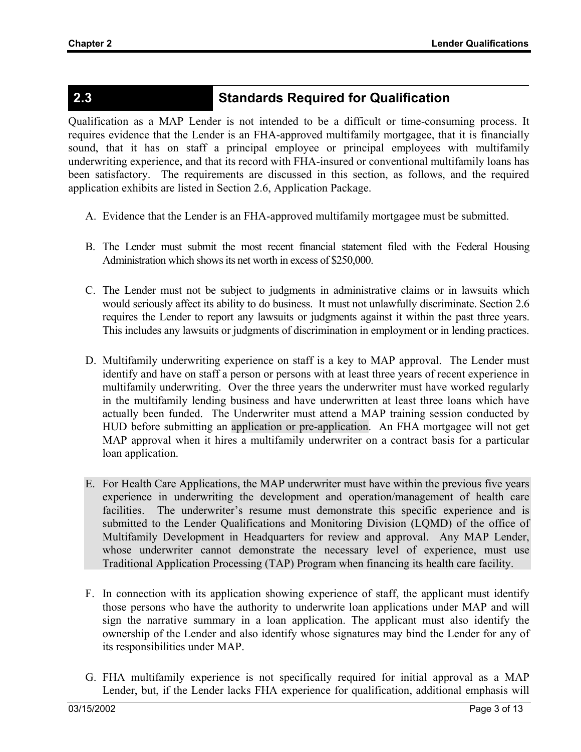## **2.3 Standards Required for Qualification**

Qualification as a MAP Lender is not intended to be a difficult or time-consuming process. It requires evidence that the Lender is an FHA-approved multifamily mortgagee, that it is financially sound, that it has on staff a principal employee or principal employees with multifamily underwriting experience, and that its record with FHA-insured or conventional multifamily loans has been satisfactory. The requirements are discussed in this section, as follows, and the required application exhibits are listed in Section 2.6, Application Package.

- A. Evidence that the Lender is an FHA-approved multifamily mortgagee must be submitted.
- B. The Lender must submit the most recent financial statement filed with the Federal Housing Administration which shows its net worth in excess of \$250,000.
- C. The Lender must not be subject to judgments in administrative claims or in lawsuits which would seriously affect its ability to do business. It must not unlawfully discriminate. Section 2.6 requires the Lender to report any lawsuits or judgments against it within the past three years. This includes any lawsuits or judgments of discrimination in employment or in lending practices.
- D. Multifamily underwriting experience on staff is a key to MAP approval. The Lender must identify and have on staff a person or persons with at least three years of recent experience in multifamily underwriting. Over the three years the underwriter must have worked regularly in the multifamily lending business and have underwritten at least three loans which have actually been funded. The Underwriter must attend a MAP training session conducted by HUD before submitting an application or pre-application. An FHA mortgagee will not get MAP approval when it hires a multifamily underwriter on a contract basis for a particular loan application.
- E. For Health Care Applications, the MAP underwriter must have within the previous five years experience in underwriting the development and operation/management of health care facilities. The underwriter's resume must demonstrate this specific experience and is submitted to the Lender Qualifications and Monitoring Division (LQMD) of the office of Multifamily Development in Headquarters for review and approval. Any MAP Lender, whose underwriter cannot demonstrate the necessary level of experience, must use Traditional Application Processing (TAP) Program when financing its health care facility.
- F. In connection with its application showing experience of staff, the applicant must identify those persons who have the authority to underwrite loan applications under MAP and will sign the narrative summary in a loan application. The applicant must also identify the ownership of the Lender and also identify whose signatures may bind the Lender for any of its responsibilities under MAP.
- G. FHA multifamily experience is not specifically required for initial approval as a MAP Lender, but, if the Lender lacks FHA experience for qualification, additional emphasis will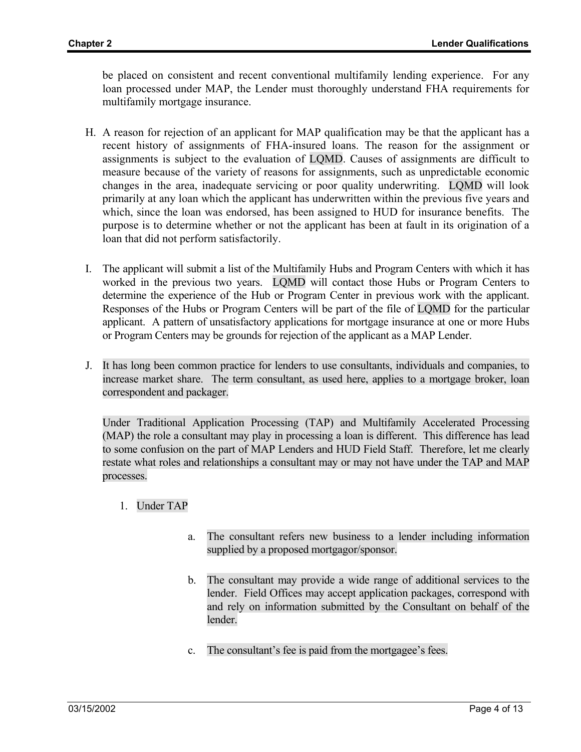be placed on consistent and recent conventional multifamily lending experience. For any loan processed under MAP, the Lender must thoroughly understand FHA requirements for multifamily mortgage insurance.

- H. A reason for rejection of an applicant for MAP qualification may be that the applicant has a recent history of assignments of FHA-insured loans. The reason for the assignment or assignments is subject to the evaluation of LQMD. Causes of assignments are difficult to measure because of the variety of reasons for assignments, such as unpredictable economic changes in the area, inadequate servicing or poor quality underwriting. LQMD will look primarily at any loan which the applicant has underwritten within the previous five years and which, since the loan was endorsed, has been assigned to HUD for insurance benefits. The purpose is to determine whether or not the applicant has been at fault in its origination of a loan that did not perform satisfactorily.
- I. The applicant will submit a list of the Multifamily Hubs and Program Centers with which it has worked in the previous two years. LQMD will contact those Hubs or Program Centers to determine the experience of the Hub or Program Center in previous work with the applicant. Responses of the Hubs or Program Centers will be part of the file of LQMD for the particular applicant. A pattern of unsatisfactory applications for mortgage insurance at one or more Hubs or Program Centers may be grounds for rejection of the applicant as a MAP Lender.
- J. It has long been common practice for lenders to use consultants, individuals and companies, to increase market share. The term consultant, as used here, applies to a mortgage broker, loan correspondent and packager.

Under Traditional Application Processing (TAP) and Multifamily Accelerated Processing (MAP) the role a consultant may play in processing a loan is different. This difference has lead to some confusion on the part of MAP Lenders and HUD Field Staff. Therefore, let me clearly restate what roles and relationships a consultant may or may not have under the TAP and MAP processes.

- 1. Under TAP
	- a. The consultant refers new business to a lender including information supplied by a proposed mortgagor/sponsor.
	- b. The consultant may provide a wide range of additional services to the lender. Field Offices may accept application packages, correspond with and rely on information submitted by the Consultant on behalf of the lender.
	- c. The consultant's fee is paid from the mortgagee's fees.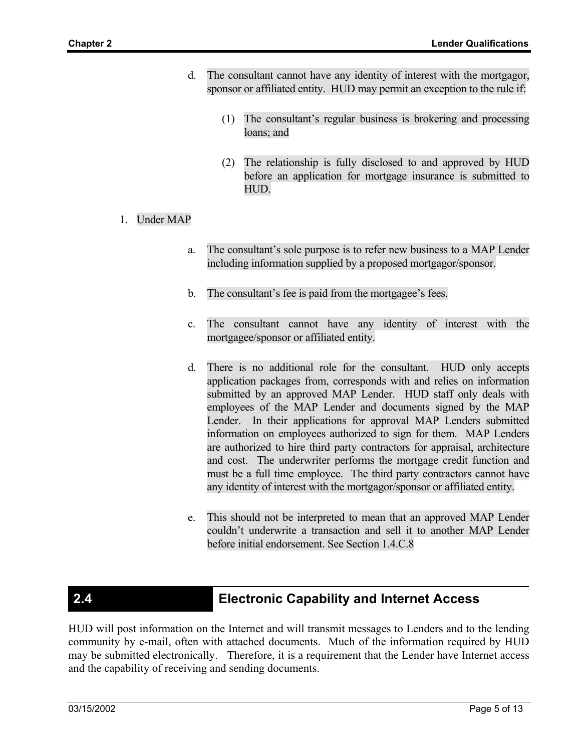- d. The consultant cannot have any identity of interest with the mortgagor, sponsor or affiliated entity. HUD may permit an exception to the rule if:
	- (1) The consultant's regular business is brokering and processing loans; and
	- (2) The relationship is fully disclosed to and approved by HUD before an application for mortgage insurance is submitted to HUD.
- 1. Under MAP
	- a. The consultant's sole purpose is to refer new business to a MAP Lender including information supplied by a proposed mortgagor/sponsor.
	- b. The consultant's fee is paid from the mortgagee's fees.
	- c. The consultant cannot have any identity of interest with the mortgagee/sponsor or affiliated entity.
	- d. There is no additional role for the consultant. HUD only accepts application packages from, corresponds with and relies on information submitted by an approved MAP Lender. HUD staff only deals with employees of the MAP Lender and documents signed by the MAP Lender. In their applications for approval MAP Lenders submitted information on employees authorized to sign for them. MAP Lenders are authorized to hire third party contractors for appraisal, architecture and cost. The underwriter performs the mortgage credit function and must be a full time employee. The third party contractors cannot have any identity of interest with the mortgagor/sponsor or affiliated entity.
	- e. This should not be interpreted to mean that an approved MAP Lender couldn't underwrite a transaction and sell it to another MAP Lender before initial endorsement. See Section 1.4.C.8

## **2.4 Electronic Capability and Internet Access**

HUD will post information on the Internet and will transmit messages to Lenders and to the lending community by e-mail, often with attached documents. Much of the information required by HUD may be submitted electronically. Therefore, it is a requirement that the Lender have Internet access and the capability of receiving and sending documents.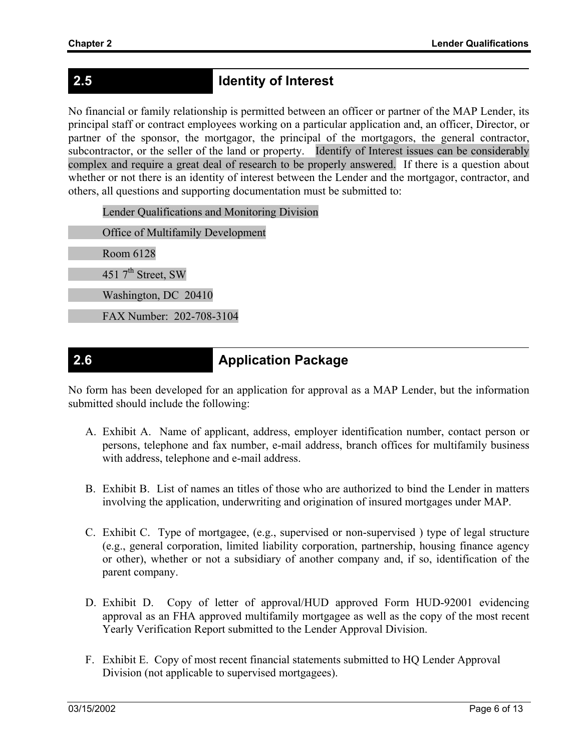# **2.5 Identity of Interest**

No financial or family relationship is permitted between an officer or partner of the MAP Lender, its principal staff or contract employees working on a particular application and, an officer, Director, or partner of the sponsor, the mortgagor, the principal of the mortgagors, the general contractor, subcontractor, or the seller of the land or property. Identify of Interest issues can be considerably complex and require a great deal of research to be properly answered. If there is a question about whether or not there is an identity of interest between the Lender and the mortgagor, contractor, and others, all questions and supporting documentation must be submitted to:

Lender Qualifications and Monitoring Division

Office of Multifamily Development

Room 6128

451  $7<sup>th</sup>$  Street, SW

Washington, DC 20410

FAX Number: 202-708-3104

## **2.6 Application Package**

No form has been developed for an application for approval as a MAP Lender, but the information submitted should include the following:

- A. Exhibit A. Name of applicant, address, employer identification number, contact person or persons, telephone and fax number, e-mail address, branch offices for multifamily business with address, telephone and e-mail address.
- B. Exhibit B. List of names an titles of those who are authorized to bind the Lender in matters involving the application, underwriting and origination of insured mortgages under MAP.
- C. Exhibit C. Type of mortgagee, (e.g., supervised or non-supervised ) type of legal structure (e.g., general corporation, limited liability corporation, partnership, housing finance agency or other), whether or not a subsidiary of another company and, if so, identification of the parent company.
- D. Exhibit D. Copy of letter of approval/HUD approved Form HUD-92001 evidencing approval as an FHA approved multifamily mortgagee as well as the copy of the most recent Yearly Verification Report submitted to the Lender Approval Division.
- F. Exhibit E. Copy of most recent financial statements submitted to HQ Lender Approval Division (not applicable to supervised mortgagees).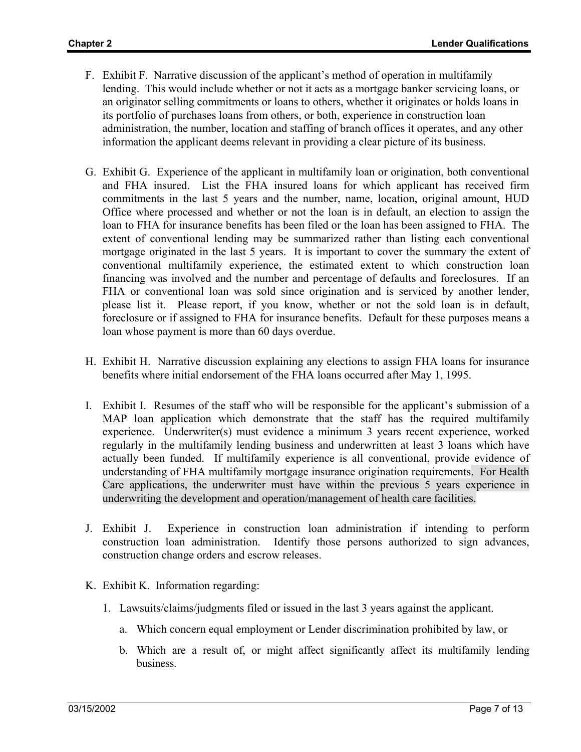- F. Exhibit F. Narrative discussion of the applicant's method of operation in multifamily lending. This would include whether or not it acts as a mortgage banker servicing loans, or an originator selling commitments or loans to others, whether it originates or holds loans in its portfolio of purchases loans from others, or both, experience in construction loan administration, the number, location and staffing of branch offices it operates, and any other information the applicant deems relevant in providing a clear picture of its business.
- G. Exhibit G. Experience of the applicant in multifamily loan or origination, both conventional and FHA insured. List the FHA insured loans for which applicant has received firm commitments in the last 5 years and the number, name, location, original amount, HUD Office where processed and whether or not the loan is in default, an election to assign the loan to FHA for insurance benefits has been filed or the loan has been assigned to FHA. The extent of conventional lending may be summarized rather than listing each conventional mortgage originated in the last 5 years. It is important to cover the summary the extent of conventional multifamily experience, the estimated extent to which construction loan financing was involved and the number and percentage of defaults and foreclosures. If an FHA or conventional loan was sold since origination and is serviced by another lender, please list it. Please report, if you know, whether or not the sold loan is in default, foreclosure or if assigned to FHA for insurance benefits. Default for these purposes means a loan whose payment is more than 60 days overdue.
- H. Exhibit H. Narrative discussion explaining any elections to assign FHA loans for insurance benefits where initial endorsement of the FHA loans occurred after May 1, 1995.
- I. Exhibit I. Resumes of the staff who will be responsible for the applicant's submission of a MAP loan application which demonstrate that the staff has the required multifamily experience. Underwriter(s) must evidence a minimum 3 years recent experience, worked regularly in the multifamily lending business and underwritten at least 3 loans which have actually been funded. If multifamily experience is all conventional, provide evidence of understanding of FHA multifamily mortgage insurance origination requirements. For Health Care applications, the underwriter must have within the previous 5 years experience in underwriting the development and operation/management of health care facilities.
- J. Exhibit J. Experience in construction loan administration if intending to perform construction loan administration. Identify those persons authorized to sign advances, construction change orders and escrow releases.
- K. Exhibit K. Information regarding:
	- 1. Lawsuits/claims/judgments filed or issued in the last 3 years against the applicant.
		- a. Which concern equal employment or Lender discrimination prohibited by law, or
		- b. Which are a result of, or might affect significantly affect its multifamily lending business.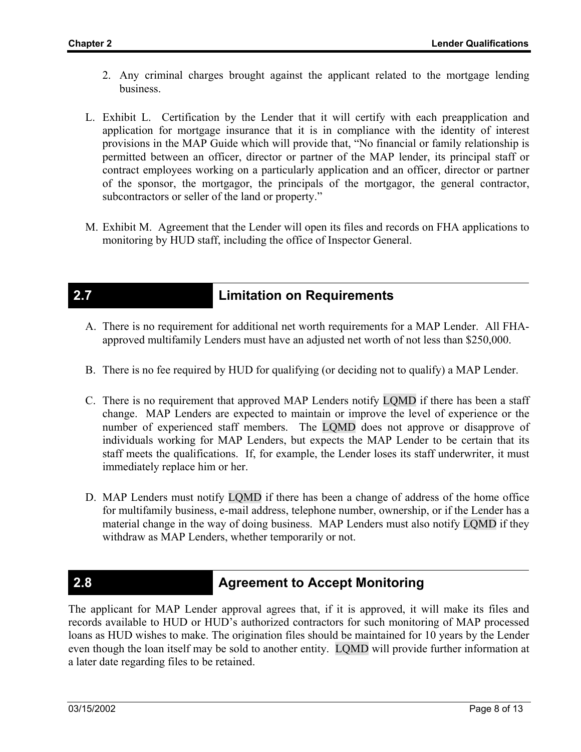- 2. Any criminal charges brought against the applicant related to the mortgage lending business.
- L. Exhibit L. Certification by the Lender that it will certify with each preapplication and application for mortgage insurance that it is in compliance with the identity of interest provisions in the MAP Guide which will provide that, "No financial or family relationship is permitted between an officer, director or partner of the MAP lender, its principal staff or contract employees working on a particularly application and an officer, director or partner of the sponsor, the mortgagor, the principals of the mortgagor, the general contractor, subcontractors or seller of the land or property."
- M. Exhibit M. Agreement that the Lender will open its files and records on FHA applications to monitoring by HUD staff, including the office of Inspector General.

## **2.7 Limitation on Requirements**

- A. There is no requirement for additional net worth requirements for a MAP Lender. All FHAapproved multifamily Lenders must have an adjusted net worth of not less than \$250,000.
- B. There is no fee required by HUD for qualifying (or deciding not to qualify) a MAP Lender.
- C. There is no requirement that approved MAP Lenders notify LQMD if there has been a staff change. MAP Lenders are expected to maintain or improve the level of experience or the number of experienced staff members. The LQMD does not approve or disapprove of individuals working for MAP Lenders, but expects the MAP Lender to be certain that its staff meets the qualifications. If, for example, the Lender loses its staff underwriter, it must immediately replace him or her.
- D. MAP Lenders must notify LQMD if there has been a change of address of the home office for multifamily business, e-mail address, telephone number, ownership, or if the Lender has a material change in the way of doing business. MAP Lenders must also notify LQMD if they withdraw as MAP Lenders, whether temporarily or not.

## **2.8 <b>Agreement to Accept Monitoring** Agreement to Accept Monitoring

The applicant for MAP Lender approval agrees that, if it is approved, it will make its files and records available to HUD or HUD's authorized contractors for such monitoring of MAP processed loans as HUD wishes to make. The origination files should be maintained for 10 years by the Lender even though the loan itself may be sold to another entity. LQMD will provide further information at a later date regarding files to be retained.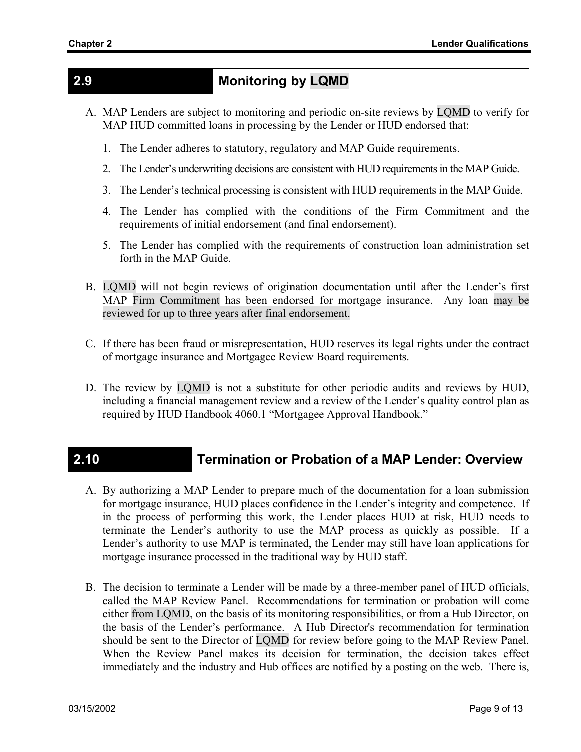## **2.9 Monitoring by LQMD**

- A. MAP Lenders are subject to monitoring and periodic on-site reviews by LQMD to verify for MAP HUD committed loans in processing by the Lender or HUD endorsed that:
	- 1. The Lender adheres to statutory, regulatory and MAP Guide requirements.
	- 2. The Lender's underwriting decisions are consistent with HUD requirements in the MAP Guide.
	- 3. The Lender's technical processing is consistent with HUD requirements in the MAP Guide.
	- 4. The Lender has complied with the conditions of the Firm Commitment and the requirements of initial endorsement (and final endorsement).
	- 5. The Lender has complied with the requirements of construction loan administration set forth in the MAP Guide.
- B. LQMD will not begin reviews of origination documentation until after the Lender's first MAP Firm Commitment has been endorsed for mortgage insurance. Any loan may be reviewed for up to three years after final endorsement.
- C. If there has been fraud or misrepresentation, HUD reserves its legal rights under the contract of mortgage insurance and Mortgagee Review Board requirements.
- D. The review by LQMD is not a substitute for other periodic audits and reviews by HUD, including a financial management review and a review of the Lender's quality control plan as required by HUD Handbook 4060.1 "Mortgagee Approval Handbook."

## **2.10 Termination or Probation of a MAP Lender: Overview**

- A. By authorizing a MAP Lender to prepare much of the documentation for a loan submission for mortgage insurance, HUD places confidence in the Lender's integrity and competence. If in the process of performing this work, the Lender places HUD at risk, HUD needs to terminate the Lender's authority to use the MAP process as quickly as possible. If a Lender's authority to use MAP is terminated, the Lender may still have loan applications for mortgage insurance processed in the traditional way by HUD staff.
- B. The decision to terminate a Lender will be made by a three-member panel of HUD officials, called the MAP Review Panel. Recommendations for termination or probation will come either from LQMD, on the basis of its monitoring responsibilities, or from a Hub Director, on the basis of the Lender's performance. A Hub Director's recommendation for termination should be sent to the Director of LQMD for review before going to the MAP Review Panel. When the Review Panel makes its decision for termination, the decision takes effect immediately and the industry and Hub offices are notified by a posting on the web. There is,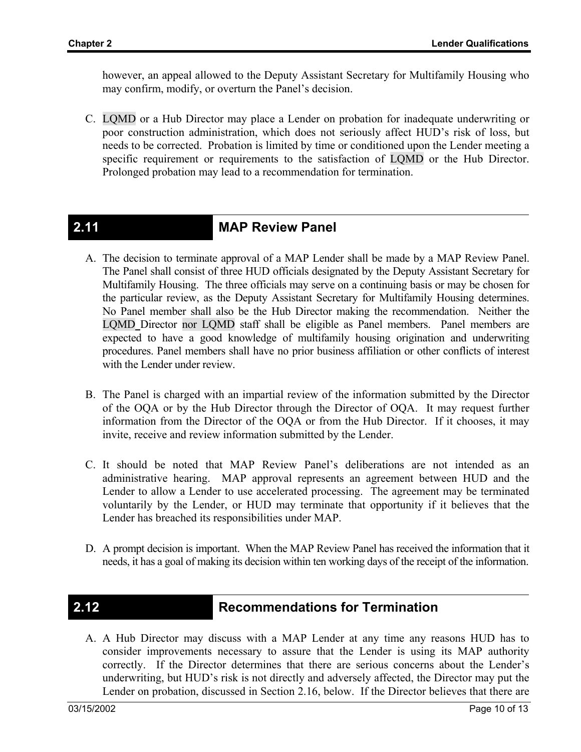however, an appeal allowed to the Deputy Assistant Secretary for Multifamily Housing who may confirm, modify, or overturn the Panel's decision.

C. LQMD or a Hub Director may place a Lender on probation for inadequate underwriting or poor construction administration, which does not seriously affect HUD's risk of loss, but needs to be corrected. Probation is limited by time or conditioned upon the Lender meeting a specific requirement or requirements to the satisfaction of LQMD or the Hub Director. Prolonged probation may lead to a recommendation for termination.

## **2.11 MAP Review Panel**

- A. The decision to terminate approval of a MAP Lender shall be made by a MAP Review Panel. The Panel shall consist of three HUD officials designated by the Deputy Assistant Secretary for Multifamily Housing. The three officials may serve on a continuing basis or may be chosen for the particular review, as the Deputy Assistant Secretary for Multifamily Housing determines. No Panel member shall also be the Hub Director making the recommendation. Neither the LQMD Director nor LQMD staff shall be eligible as Panel members. Panel members are expected to have a good knowledge of multifamily housing origination and underwriting procedures. Panel members shall have no prior business affiliation or other conflicts of interest with the Lender under review.
- B. The Panel is charged with an impartial review of the information submitted by the Director of the OQA or by the Hub Director through the Director of OQA. It may request further information from the Director of the OQA or from the Hub Director. If it chooses, it may invite, receive and review information submitted by the Lender.
- C. It should be noted that MAP Review Panel's deliberations are not intended as an administrative hearing. MAP approval represents an agreement between HUD and the Lender to allow a Lender to use accelerated processing. The agreement may be terminated voluntarily by the Lender, or HUD may terminate that opportunity if it believes that the Lender has breached its responsibilities under MAP.
- D. A prompt decision is important. When the MAP Review Panel has received the information that it needs, it has a goal of making its decision within ten working days of the receipt of the information.

## **2.12 Recommendations for Termination**

A. A Hub Director may discuss with a MAP Lender at any time any reasons HUD has to consider improvements necessary to assure that the Lender is using its MAP authority correctly. If the Director determines that there are serious concerns about the Lender's underwriting, but HUD's risk is not directly and adversely affected, the Director may put the Lender on probation, discussed in Section 2.16, below. If the Director believes that there are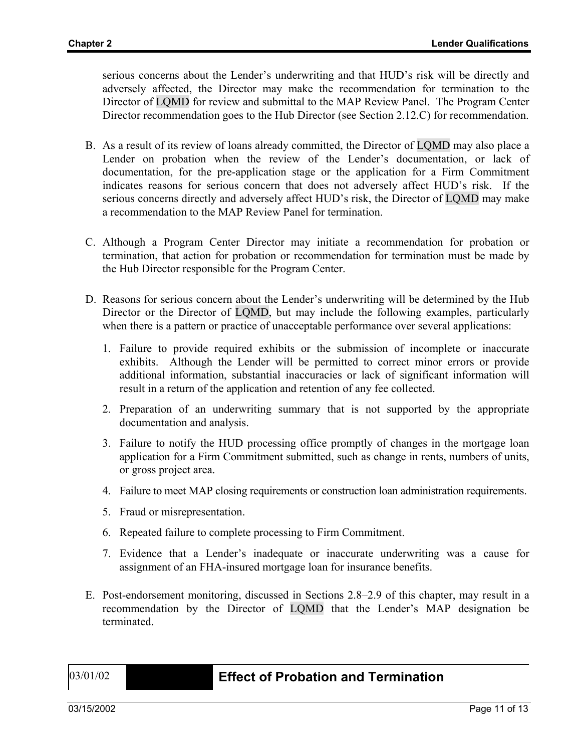serious concerns about the Lender's underwriting and that HUD's risk will be directly and adversely affected, the Director may make the recommendation for termination to the Director of LQMD for review and submittal to the MAP Review Panel. The Program Center Director recommendation goes to the Hub Director (see Section 2.12.C) for recommendation.

- B. As a result of its review of loans already committed, the Director of LQMD may also place a Lender on probation when the review of the Lender's documentation, or lack of documentation, for the pre-application stage or the application for a Firm Commitment indicates reasons for serious concern that does not adversely affect HUD's risk. If the serious concerns directly and adversely affect HUD's risk, the Director of LQMD may make a recommendation to the MAP Review Panel for termination.
- C. Although a Program Center Director may initiate a recommendation for probation or termination, that action for probation or recommendation for termination must be made by the Hub Director responsible for the Program Center.
- D. Reasons for serious concern about the Lender's underwriting will be determined by the Hub Director or the Director of LQMD, but may include the following examples, particularly when there is a pattern or practice of unacceptable performance over several applications:
	- 1. Failure to provide required exhibits or the submission of incomplete or inaccurate exhibits. Although the Lender will be permitted to correct minor errors or provide additional information, substantial inaccuracies or lack of significant information will result in a return of the application and retention of any fee collected.
	- 2. Preparation of an underwriting summary that is not supported by the appropriate documentation and analysis.
	- 3. Failure to notify the HUD processing office promptly of changes in the mortgage loan application for a Firm Commitment submitted, such as change in rents, numbers of units, or gross project area.
	- 4. Failure to meet MAP closing requirements or construction loan administration requirements.
	- 5. Fraud or misrepresentation.
	- 6. Repeated failure to complete processing to Firm Commitment.
	- 7. Evidence that a Lender's inadequate or inaccurate underwriting was a cause for assignment of an FHA-insured mortgage loan for insurance benefits.
- E. Post-endorsement monitoring, discussed in Sections 2.8–2.9 of this chapter, may result in a recommendation by the Director of LQMD that the Lender's MAP designation be terminated.

### 03/01/02 **2.13 Effect of Probation and Termination**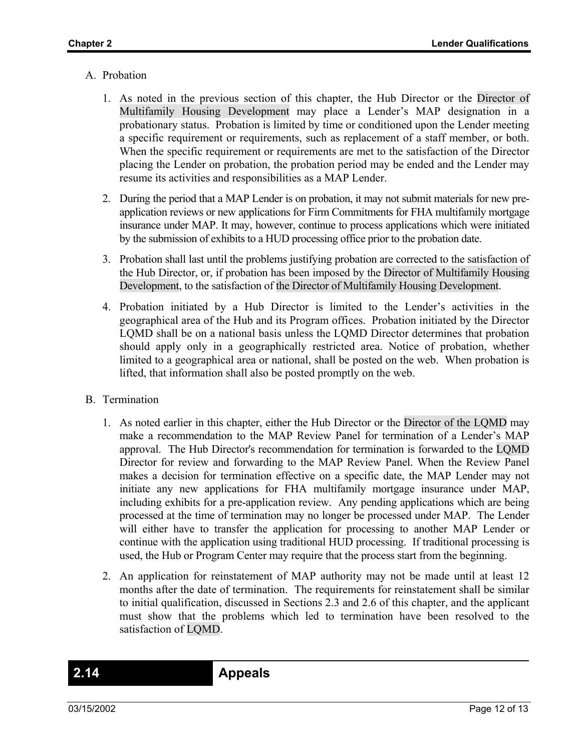### A. Probation

- 1. As noted in the previous section of this chapter, the Hub Director or the Director of Multifamily Housing Development may place a Lender's MAP designation in a probationary status. Probation is limited by time or conditioned upon the Lender meeting a specific requirement or requirements, such as replacement of a staff member, or both. When the specific requirement or requirements are met to the satisfaction of the Director placing the Lender on probation, the probation period may be ended and the Lender may resume its activities and responsibilities as a MAP Lender.
- 2. During the period that a MAP Lender is on probation, it may not submit materials for new preapplication reviews or new applications for Firm Commitments for FHA multifamily mortgage insurance under MAP. It may, however, continue to process applications which were initiated by the submission of exhibits to a HUD processing office prior to the probation date.
- 3. Probation shall last until the problems justifying probation are corrected to the satisfaction of the Hub Director, or, if probation has been imposed by the Director of Multifamily Housing Development, to the satisfaction of the Director of Multifamily Housing Development.
- 4. Probation initiated by a Hub Director is limited to the Lender's activities in the geographical area of the Hub and its Program offices. Probation initiated by the Director LQMD shall be on a national basis unless the LQMD Director determines that probation should apply only in a geographically restricted area. Notice of probation, whether limited to a geographical area or national, shall be posted on the web. When probation is lifted, that information shall also be posted promptly on the web.
- B. Termination
	- 1. As noted earlier in this chapter, either the Hub Director or the Director of the LQMD may make a recommendation to the MAP Review Panel for termination of a Lender's MAP approval. The Hub Director's recommendation for termination is forwarded to the LQMD Director for review and forwarding to the MAP Review Panel. When the Review Panel makes a decision for termination effective on a specific date, the MAP Lender may not initiate any new applications for FHA multifamily mortgage insurance under MAP, including exhibits for a pre-application review. Any pending applications which are being processed at the time of termination may no longer be processed under MAP. The Lender will either have to transfer the application for processing to another MAP Lender or continue with the application using traditional HUD processing. If traditional processing is used, the Hub or Program Center may require that the process start from the beginning.
	- 2. An application for reinstatement of MAP authority may not be made until at least 12 months after the date of termination. The requirements for reinstatement shall be similar to initial qualification, discussed in Sections 2.3 and 2.6 of this chapter, and the applicant must show that the problems which led to termination have been resolved to the satisfaction of LQMD.

**2.14 Appeals**